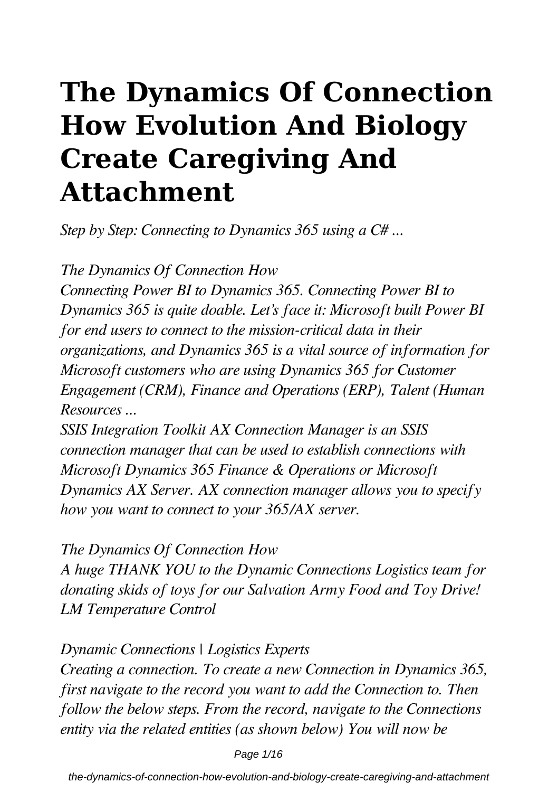# **The Dynamics Of Connection How Evolution And Biology Create Caregiving And Attachment**

*Step by Step: Connecting to Dynamics 365 using a C# ...*

*The Dynamics Of Connection How*

*Connecting Power BI to Dynamics 365. Connecting Power BI to Dynamics 365 is quite doable. Let's face it: Microsoft built Power BI for end users to connect to the mission-critical data in their organizations, and Dynamics 365 is a vital source of information for Microsoft customers who are using Dynamics 365 for Customer Engagement (CRM), Finance and Operations (ERP), Talent (Human Resources ...*

*SSIS Integration Toolkit AX Connection Manager is an SSIS connection manager that can be used to establish connections with Microsoft Dynamics 365 Finance & Operations or Microsoft Dynamics AX Server. AX connection manager allows you to specify how you want to connect to your 365/AX server.*

*The Dynamics Of Connection How*

*A huge THANK YOU to the Dynamic Connections Logistics team for donating skids of toys for our Salvation Army Food and Toy Drive! LM Temperature Control*

*Dynamic Connections | Logistics Experts*

*Creating a connection. To create a new Connection in Dynamics 365, first navigate to the record you want to add the Connection to. Then follow the below steps. From the record, navigate to the Connections entity via the related entities (as shown below) You will now be*

Page 1/16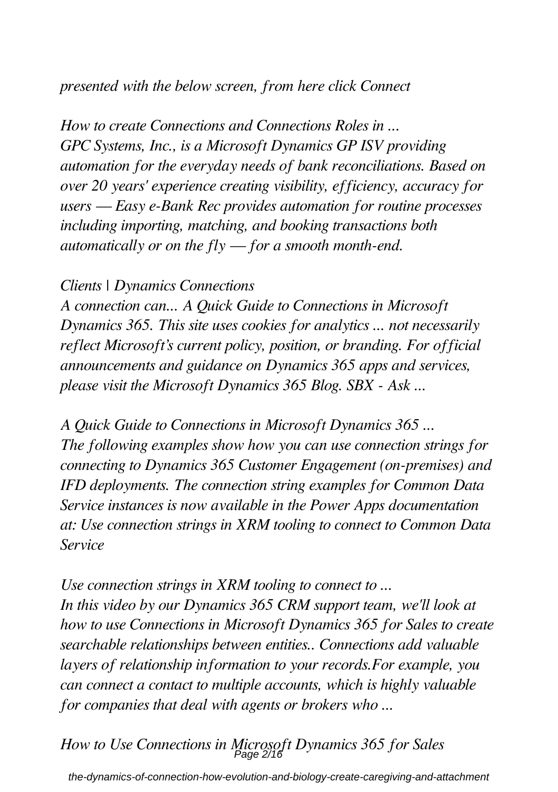#### *presented with the below screen, from here click Connect*

*How to create Connections and Connections Roles in ... GPC Systems, Inc., is a Microsoft Dynamics GP ISV providing automation for the everyday needs of bank reconciliations. Based on over 20 years' experience creating visibility, efficiency, accuracy for users — Easy e-Bank Rec provides automation for routine processes including importing, matching, and booking transactions both automatically or on the fly — for a smooth month-end.*

#### *Clients | Dynamics Connections*

*A connection can... A Quick Guide to Connections in Microsoft Dynamics 365. This site uses cookies for analytics ... not necessarily reflect Microsoft's current policy, position, or branding. For official announcements and guidance on Dynamics 365 apps and services, please visit the Microsoft Dynamics 365 Blog. SBX - Ask ...*

*A Quick Guide to Connections in Microsoft Dynamics 365 ... The following examples show how you can use connection strings for connecting to Dynamics 365 Customer Engagement (on-premises) and IFD deployments. The connection string examples for Common Data Service instances is now available in the Power Apps documentation at: Use connection strings in XRM tooling to connect to Common Data Service*

*Use connection strings in XRM tooling to connect to ... In this video by our Dynamics 365 CRM support team, we'll look at how to use Connections in Microsoft Dynamics 365 for Sales to create searchable relationships between entities.. Connections add valuable layers of relationship information to your records.For example, you can connect a contact to multiple accounts, which is highly valuable for companies that deal with agents or brokers who ...*

*How to Use Connections in Microsoft Dynamics 365 for Sales* Page 2/16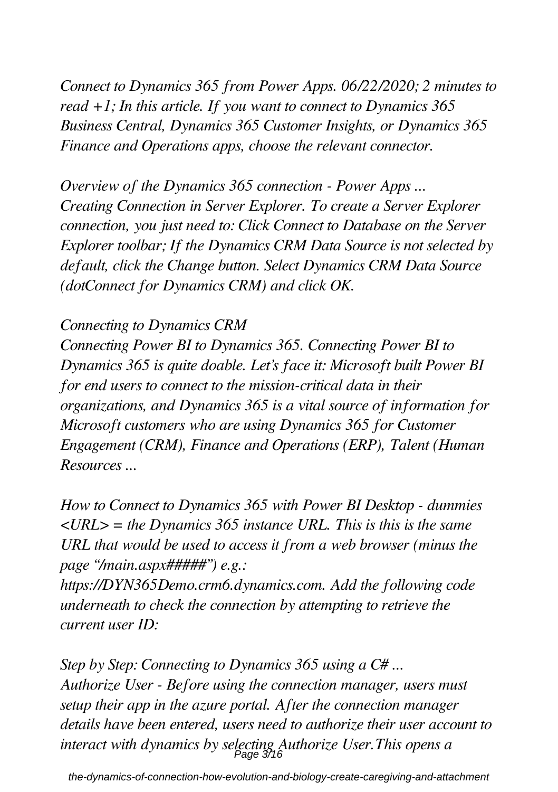*Connect to Dynamics 365 from Power Apps. 06/22/2020; 2 minutes to read +1; In this article. If you want to connect to Dynamics 365 Business Central, Dynamics 365 Customer Insights, or Dynamics 365 Finance and Operations apps, choose the relevant connector.*

*Overview of the Dynamics 365 connection - Power Apps ... Creating Connection in Server Explorer. To create a Server Explorer connection, you just need to: Click Connect to Database on the Server Explorer toolbar; If the Dynamics CRM Data Source is not selected by default, click the Change button. Select Dynamics CRM Data Source (dotConnect for Dynamics CRM) and click OK.*

#### *Connecting to Dynamics CRM*

*Connecting Power BI to Dynamics 365. Connecting Power BI to Dynamics 365 is quite doable. Let's face it: Microsoft built Power BI for end users to connect to the mission-critical data in their organizations, and Dynamics 365 is a vital source of information for Microsoft customers who are using Dynamics 365 for Customer Engagement (CRM), Finance and Operations (ERP), Talent (Human Resources ...*

*How to Connect to Dynamics 365 with Power BI Desktop - dummies <URL> = the Dynamics 365 instance URL. This is this is the same URL that would be used to access it from a web browser (minus the page "/main.aspx#####") e.g.:*

*https://DYN365Demo.crm6.dynamics.com. Add the following code underneath to check the connection by attempting to retrieve the current user ID:*

*Step by Step: Connecting to Dynamics 365 using a C# ... Authorize User - Before using the connection manager, users must setup their app in the azure portal. After the connection manager details have been entered, users need to authorize their user account to interact with dynamics by selecting Authorize User.This opens a* Page 3/16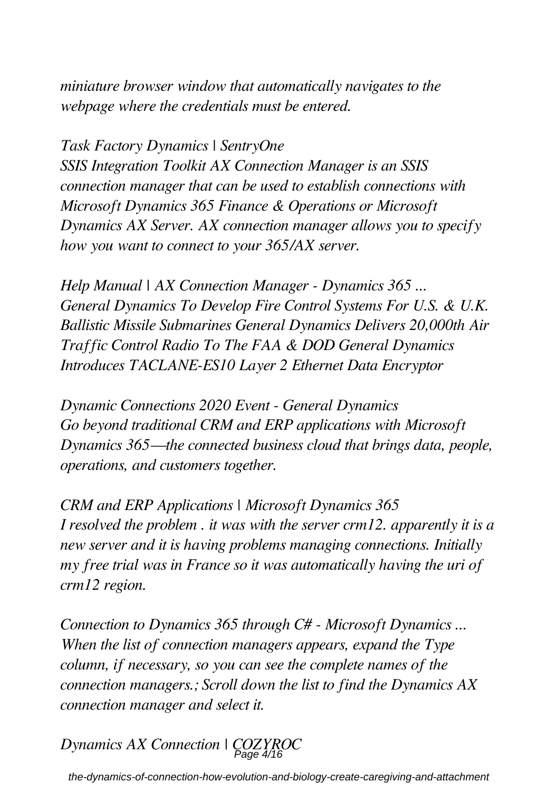*miniature browser window that automatically navigates to the webpage where the credentials must be entered.*

*Task Factory Dynamics | SentryOne*

*SSIS Integration Toolkit AX Connection Manager is an SSIS connection manager that can be used to establish connections with Microsoft Dynamics 365 Finance & Operations or Microsoft Dynamics AX Server. AX connection manager allows you to specify how you want to connect to your 365/AX server.*

*Help Manual | AX Connection Manager - Dynamics 365 ... General Dynamics To Develop Fire Control Systems For U.S. & U.K. Ballistic Missile Submarines General Dynamics Delivers 20,000th Air Traffic Control Radio To The FAA & DOD General Dynamics Introduces TACLANE-ES10 Layer 2 Ethernet Data Encryptor*

*Dynamic Connections 2020 Event - General Dynamics Go beyond traditional CRM and ERP applications with Microsoft Dynamics 365—the connected business cloud that brings data, people, operations, and customers together.*

*CRM and ERP Applications | Microsoft Dynamics 365 I resolved the problem . it was with the server crm12. apparently it is a new server and it is having problems managing connections. Initially my free trial was in France so it was automatically having the uri of crm12 region.*

*Connection to Dynamics 365 through C# - Microsoft Dynamics ... When the list of connection managers appears, expand the Type column, if necessary, so you can see the complete names of the connection managers.; Scroll down the list to find the Dynamics AX connection manager and select it.*

*Dynamics AX Connection | COZYROC* Page 4/16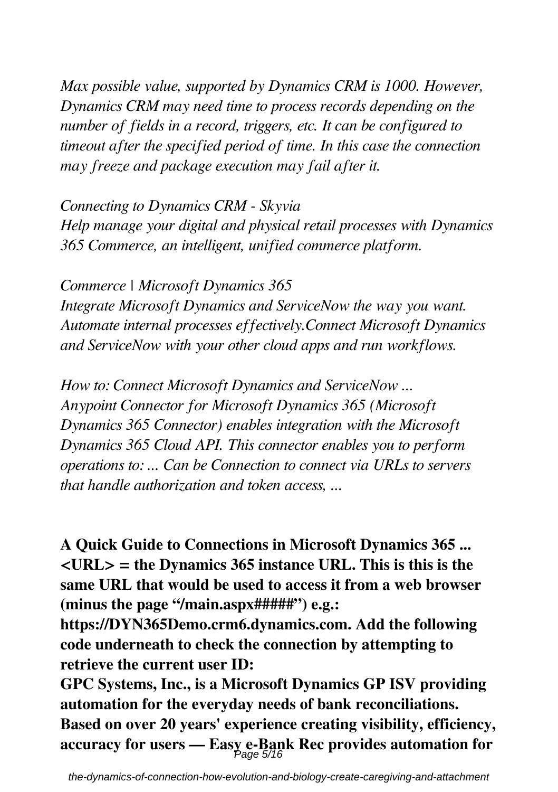*Max possible value, supported by Dynamics CRM is 1000. However, Dynamics CRM may need time to process records depending on the number of fields in a record, triggers, etc. It can be configured to timeout after the specified period of time. In this case the connection may freeze and package execution may fail after it.*

*Connecting to Dynamics CRM - Skyvia*

*Help manage your digital and physical retail processes with Dynamics 365 Commerce, an intelligent, unified commerce platform.*

*Commerce | Microsoft Dynamics 365*

*Integrate Microsoft Dynamics and ServiceNow the way you want. Automate internal processes effectively.Connect Microsoft Dynamics and ServiceNow with your other cloud apps and run workflows.*

*How to: Connect Microsoft Dynamics and ServiceNow ... Anypoint Connector for Microsoft Dynamics 365 (Microsoft Dynamics 365 Connector) enables integration with the Microsoft Dynamics 365 Cloud API. This connector enables you to perform operations to: ... Can be Connection to connect via URLs to servers that handle authorization and token access, ...*

**A Quick Guide to Connections in Microsoft Dynamics 365 ... <URL> = the Dynamics 365 instance URL. This is this is the same URL that would be used to access it from a web browser (minus the page "/main.aspx#####") e.g.:**

**https://DYN365Demo.crm6.dynamics.com. Add the following code underneath to check the connection by attempting to retrieve the current user ID:**

**GPC Systems, Inc., is a Microsoft Dynamics GP ISV providing automation for the everyday needs of bank reconciliations. Based on over 20 years' experience creating visibility, efficiency, accuracy for users — Easy e-Bank Rec provides automation for** Page 5/16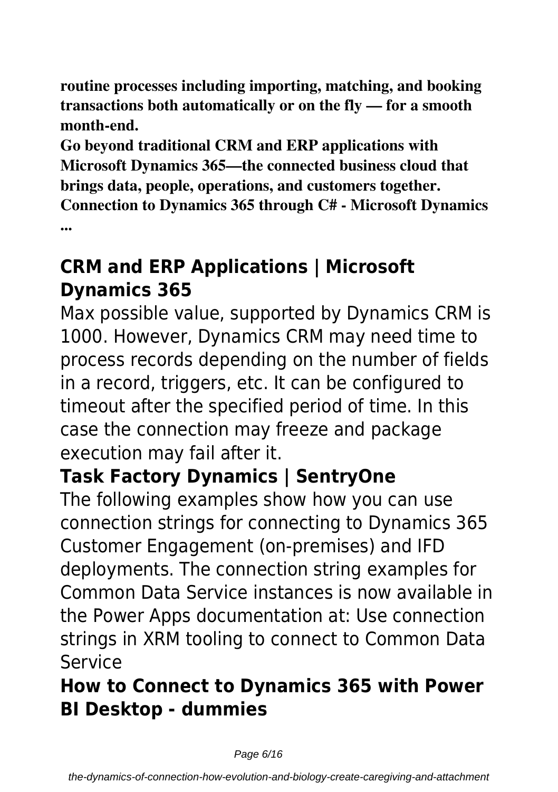**routine processes including importing, matching, and booking transactions both automatically or on the fly — for a smooth month-end.**

**Go beyond traditional CRM and ERP applications with Microsoft Dynamics 365—the connected business cloud that brings data, people, operations, and customers together. Connection to Dynamics 365 through C# - Microsoft Dynamics ...**

### **CRM and ERP Applications | Microsoft Dynamics 365**

Max possible value, supported by Dynamics CRM is 1000. However, Dynamics CRM may need time to process records depending on the number of fields in a record, triggers, etc. It can be configured to timeout after the specified period of time. In this case the connection may freeze and package execution may fail after it.

## **Task Factory Dynamics | SentryOne**

The following examples show how you can use connection strings for connecting to Dynamics 365 Customer Engagement (on-premises) and IFD deployments. The connection string examples for Common Data Service instances is now available in the Power Apps documentation at: Use connection strings in XRM tooling to connect to Common Data Service

### **How to Connect to Dynamics 365 with Power BI Desktop - dummies**

Page 6/16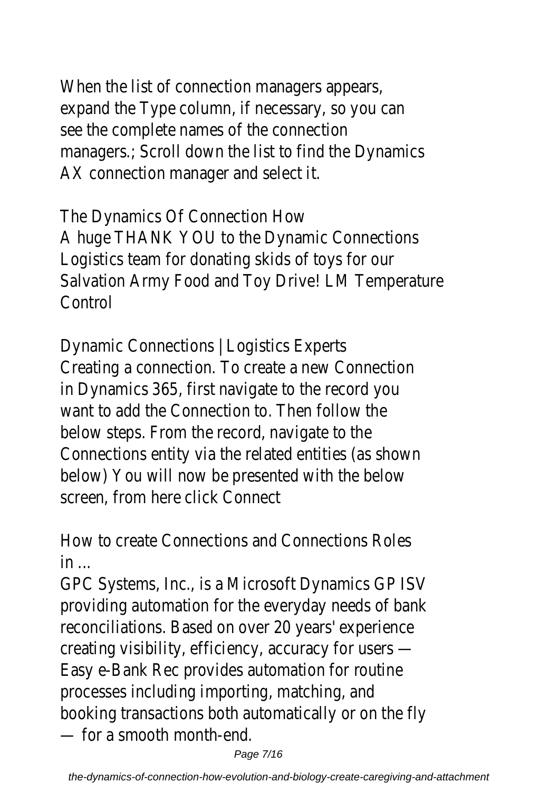When the list of connection managers appears, expand the Type column, if necessary, so you can see the complete names of the connection managers.; Scroll down the list to find the Dynamics AX connection manager and select it.

The Dynamics Of Connection How A huge THANK YOU to the Dynamic Connections Logistics team for donating skids of toys for our Salvation Army Food and Toy Drive! LM Temperature Control

Dynamic Connections | Logistics Experts Creating a connection. To create a new Connection in Dynamics 365, first navigate to the record you want to add the Connection to. Then follow the below steps. From the record, navigate to the Connections entity via the related entities (as shown below) You will now be presented with the below screen, from here click Connect

How to create Connections and Connections Roles  $in$ ...

GPC Systems, Inc., is a Microsoft Dynamics GP ISV providing automation for the everyday needs of bank reconciliations. Based on over 20 years' experience creating visibility, efficiency, accuracy for users — Easy e-Bank Rec provides automation for routine processes including importing, matching, and booking transactions both automatically or on the fly — for a smooth month-end.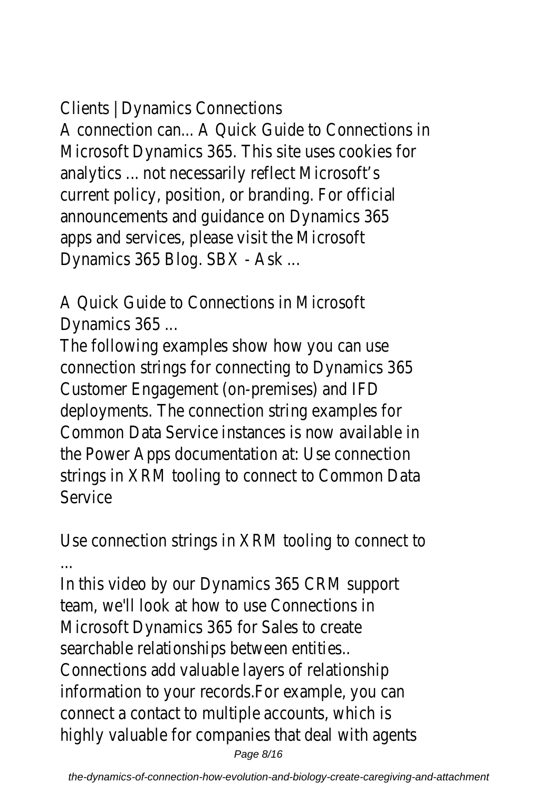Clients | Dynamics Connections

A connection can... A Quick Guide to Connections in Microsoft Dynamics 365. This site uses cookies for analytics ... not necessarily reflect Microsoft's current policy, position, or branding. For official announcements and guidance on Dynamics 365 apps and services, please visit the Microsoft Dynamics 365 Blog. SBX - Ask ...

A Quick Guide to Connections in Microsoft Dynamics 365 ...

The following examples show how you can use connection strings for connecting to Dynamics 365 Customer Engagement (on-premises) and IFD deployments. The connection string examples for Common Data Service instances is now available in the Power Apps documentation at: Use connection strings in XRM tooling to connect to Common Data **Service** 

Use connection strings in XRM tooling to connect to ...

In this video by our Dynamics 365 CRM support team, we'll look at how to use Connections in Microsoft Dynamics 365 for Sales to create searchable relationships between entities.. Connections add valuable layers of relationship information to your records.For example, you can connect a contact to multiple accounts, which is highly valuable for companies that deal with agents Page 8/16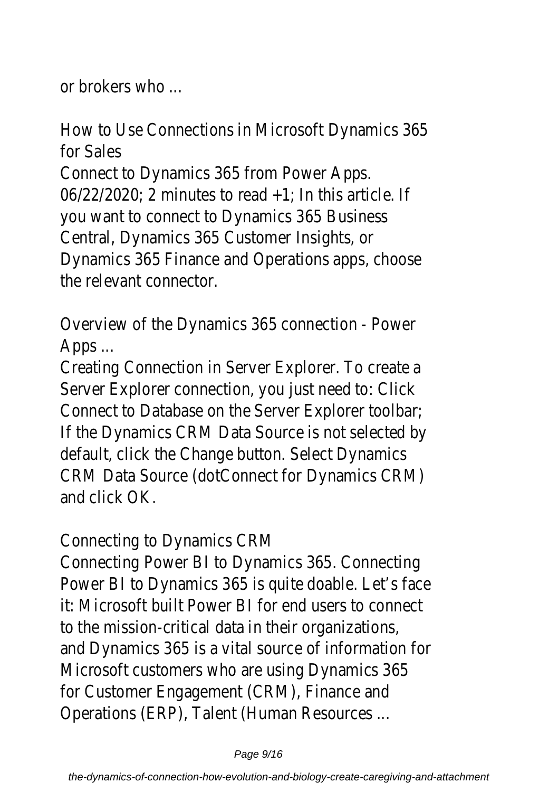or brokers who ...

How to Use Connections in Microsoft Dynamics 365 for Sales Connect to Dynamics 365 from Power Apps. 06/22/2020; 2 minutes to read +1; In this article. If you want to connect to Dynamics 365 Business Central, Dynamics 365 Customer Insights, or Dynamics 365 Finance and Operations apps, choose the relevant connector.

Overview of the Dynamics 365 connection - Power Apps ...

Creating Connection in Server Explorer. To create a Server Explorer connection, you just need to: Click Connect to Database on the Server Explorer toolbar; If the Dynamics CRM Data Source is not selected by default, click the Change button. Select Dynamics CRM Data Source (dotConnect for Dynamics CRM) and click OK.

Connecting to Dynamics CRM

Connecting Power BI to Dynamics 365. Connecting Power BI to Dynamics 365 is quite doable. Let's face it: Microsoft built Power BI for end users to connect to the mission-critical data in their organizations, and Dynamics 365 is a vital source of information for Microsoft customers who are using Dynamics 365 for Customer Engagement (CRM), Finance and Operations (ERP), Talent (Human Resources ...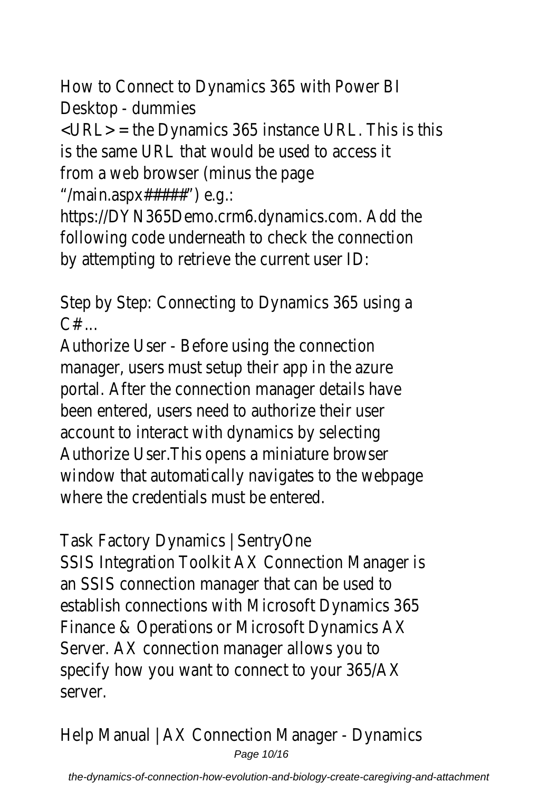How to Connect to Dynamics 365 with Power BI Desktop - dummies

<URL> = the Dynamics 365 instance URL. This is this is the same URL that would be used to access it from a web browser (minus the page "/main.aspx#####") e.g.:

https://DYN365Demo.crm6.dynamics.com. Add the following code underneath to check the connection by attempting to retrieve the current user ID:

Step by Step: Connecting to Dynamics 365 using a  $C#$  ...

Authorize User - Before using the connection manager, users must setup their app in the azure portal. After the connection manager details have been entered, users need to authorize their user account to interact with dynamics by selecting Authorize User.This opens a miniature browser window that automatically navigates to the webpage where the credentials must be entered.

Task Factory Dynamics | SentryOne SSIS Integration Toolkit AX Connection Manager is an SSIS connection manager that can be used to establish connections with Microsoft Dynamics 365 Finance & Operations or Microsoft Dynamics AX Server. AX connection manager allows you to specify how you want to connect to your 365/AX server.

Help Manual | AX Connection Manager - Dynamics Page 10/16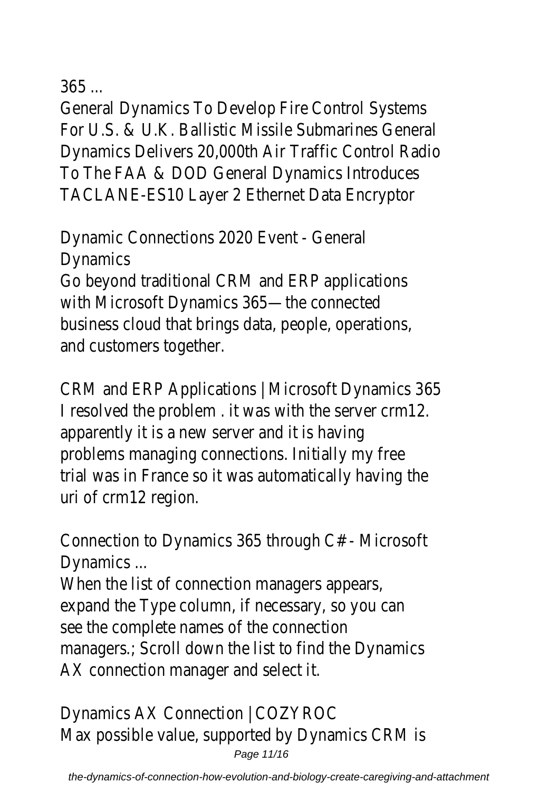365

General Dynamics To Develop Fire Control Systems For U.S. & U.K. Ballistic Missile Submarines General Dynamics Delivers 20,000th Air Traffic Control Radio To The FAA & DOD General Dynamics Introduces TACLANE-ES10 Layer 2 Ethernet Data Encryptor

Dynamic Connections 2020 Event - General **Dynamics** 

Go beyond traditional CRM and ERP applications with Microsoft Dynamics 365—the connected business cloud that brings data, people, operations, and customers together.

CRM and ERP Applications | Microsoft Dynamics 365 I resolved the problem . it was with the server crm12. apparently it is a new server and it is having problems managing connections. Initially my free trial was in France so it was automatically having the uri of crm12 region.

Connection to Dynamics 365 through C# - Microsoft Dynamics ...

When the list of connection managers appears, expand the Type column, if necessary, so you can see the complete names of the connection managers.; Scroll down the list to find the Dynamics AX connection manager and select it.

Dynamics AX Connection | COZYROC Max possible value, supported by Dynamics CRM is Page 11/16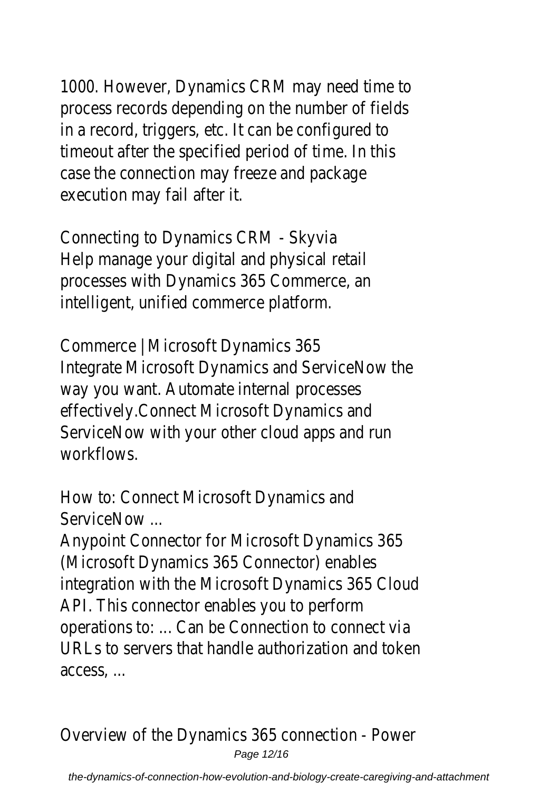1000. However, Dynamics CRM may need time to process records depending on the number of fields in a record, triggers, etc. It can be configured to timeout after the specified period of time. In this case the connection may freeze and package execution may fail after it.

Connecting to Dynamics CRM - Skyvia Help manage your digital and physical retail processes with Dynamics 365 Commerce, an intelligent, unified commerce platform.

Commerce | Microsoft Dynamics 365 Integrate Microsoft Dynamics and ServiceNow the way you want. Automate internal processes effectively.Connect Microsoft Dynamics and ServiceNow with your other cloud apps and run workflows.

How to: Connect Microsoft Dynamics and ServiceNow ...

Anypoint Connector for Microsoft Dynamics 365 (Microsoft Dynamics 365 Connector) enables integration with the Microsoft Dynamics 365 Cloud API. This connector enables you to perform operations to: ... Can be Connection to connect via URLs to servers that handle authorization and token access, ...

Overview of the Dynamics 365 connection - Power Page 12/16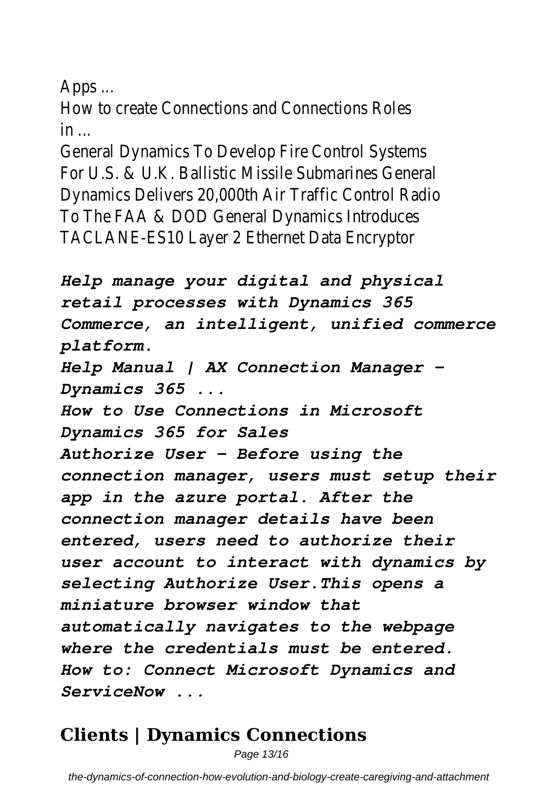Apps ...

How to create Connections and Connections Roles  $in$ ...

General Dynamics To Develop Fire Control Systems For U.S. & U.K. Ballistic Missile Submarines General Dynamics Delivers 20,000th Air Traffic Control Radio To The FAA & DOD General Dynamics Introduces TACLANE-ES10 Layer 2 Ethernet Data Encryptor

*Help manage your digital and physical retail processes with Dynamics 365 Commerce, an intelligent, unified commerce platform. Help Manual | AX Connection Manager - Dynamics 365 ... How to Use Connections in Microsoft Dynamics 365 for Sales Authorize User - Before using the connection manager, users must setup their app in the azure portal. After the connection manager details have been entered, users need to authorize their user account to interact with dynamics by selecting Authorize User.This opens a miniature browser window that automatically navigates to the webpage where the credentials must be entered. How to: Connect Microsoft Dynamics and ServiceNow ...*

### **Clients | Dynamics Connections**

Page 13/16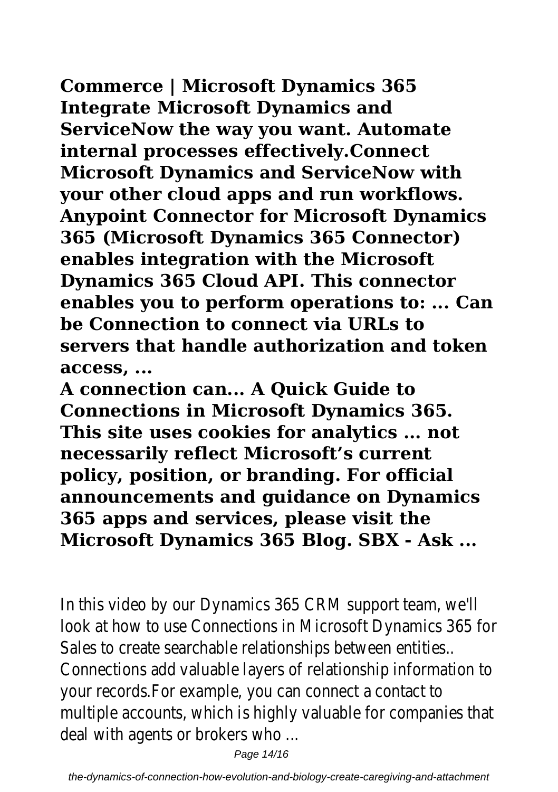**Commerce | Microsoft Dynamics 365**

**Integrate Microsoft Dynamics and ServiceNow the way you want. Automate internal processes effectively.Connect Microsoft Dynamics and ServiceNow with your other cloud apps and run workflows. Anypoint Connector for Microsoft Dynamics 365 (Microsoft Dynamics 365 Connector) enables integration with the Microsoft Dynamics 365 Cloud API. This connector enables you to perform operations to: ... Can be Connection to connect via URLs to servers that handle authorization and token access, ...**

**A connection can... A Quick Guide to Connections in Microsoft Dynamics 365. This site uses cookies for analytics ... not necessarily reflect Microsoft's current policy, position, or branding. For official announcements and guidance on Dynamics 365 apps and services, please visit the Microsoft Dynamics 365 Blog. SBX - Ask ...**

In this video by our Dynamics 365 CRM support team, we'll look at how to use Connections in Microsoft Dynamics 365 for Sales to create searchable relationships between entities.. Connections add valuable layers of relationship information to your records.For example, you can connect a contact to multiple accounts, which is highly valuable for companies that deal with agents or brokers who ...

Page 14/16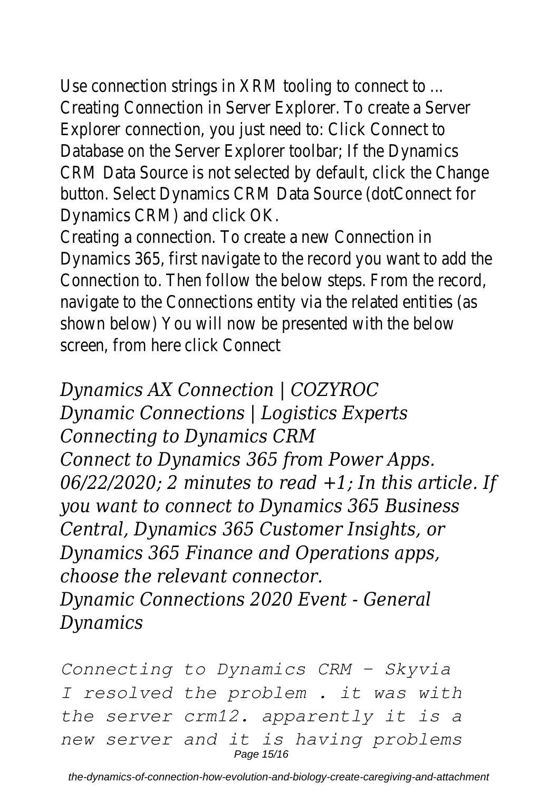Use connection strings in XRM tooling to connect to ... Creating Connection in Server Explorer. To create a Server Explorer connection, you just need to: Click Connect to Database on the Server Explorer toolbar; If the Dynamics CRM Data Source is not selected by default, click the Change button. Select Dynamics CRM Data Source (dotConnect for Dynamics CRM) and click OK.

Creating a connection. To create a new Connection in Dynamics 365, first navigate to the record you want to add the Connection to. Then follow the below steps. From the record, navigate to the Connections entity via the related entities (as shown below) You will now be presented with the below screen, from here click Connect

#### *Dynamics AX Connection | COZYROC*

*Dynamic Connections | Logistics Experts Connecting to Dynamics CRM Connect to Dynamics 365 from Power Apps. 06/22/2020; 2 minutes to read +1; In this article. If you want to connect to Dynamics 365 Business Central, Dynamics 365 Customer Insights, or Dynamics 365 Finance and Operations apps, choose the relevant connector. Dynamic Connections 2020 Event - General Dynamics*

*Connecting to Dynamics CRM - Skyvia I resolved the problem . it was with the server crm12. apparently it is a new server and it is having problems* Page 15/16